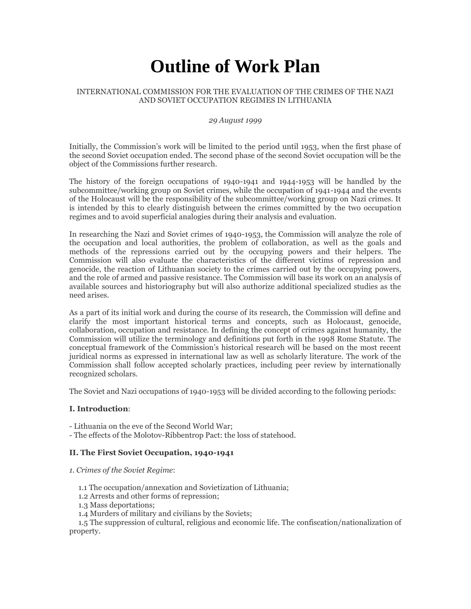# **Outline of Work Plan**

#### INTERNATIONAL COMMISSION FOR THE EVALUATION OF THE CRIMES OF THE NAZI AND SOVIET OCCUPATION REGIMES IN LITHUANIA

#### *29 August 1999*

Initially, the Commission's work will be limited to the period until 1953, when the first phase of the second Soviet occupation ended. The second phase of the second Soviet occupation will be the object of the Commissions further research.

The history of the foreign occupations of 1940-1941 and 1944-1953 will be handled by the subcommittee/working group on Soviet crimes, while the occupation of 1941-1944 and the events of the Holocaust will be the responsibility of the subcommittee/working group on Nazi crimes. It is intended by this to clearly distinguish between the crimes committed by the two occupation regimes and to avoid superficial analogies during their analysis and evaluation.

In researching the Nazi and Soviet crimes of 1940-1953, the Commission will analyze the role of the occupation and local authorities, the problem of collaboration, as well as the goals and methods of the repressions carried out by the occupying powers and their helpers. The Commission will also evaluate the characteristics of the different victims of repression and genocide, the reaction of Lithuanian society to the crimes carried out by the occupying powers, and the role of armed and passive resistance. The Commission will base its work on an analysis of available sources and historiography but will also authorize additional specialized studies as the need arises.

As a part of its initial work and during the course of its research, the Commission will define and clarify the most important historical terms and concepts, such as Holocaust, genocide, collaboration, occupation and resistance. In defining the concept of crimes against humanity, the Commission will utilize the terminology and definitions put forth in the 1998 Rome Statute. The conceptual framework of the Commission's historical research will be based on the most recent juridical norms as expressed in international law as well as scholarly literature. The work of the Commission shall follow accepted scholarly practices, including peer review by internationally recognized scholars.

The Soviet and Nazi occupations of 1940-1953 will be divided according to the following periods:

#### **I. Introduction**:

- Lithuania on the eve of the Second World War;

- The effects of the Molotov-Ribbentrop Pact: the loss of statehood.

## **II. The First Soviet Occupation, 1940-1941**

- *1. Crimes of the Soviet Regime*:
	- 1.1 The occupation/annexation and Sovietization of Lithuania;
	- 1.2 Arrests and other forms of repression;

1.3 Mass deportations;

1.4 Murders of military and civilians by the Soviets;

 1.5 The suppression of cultural, religious and economic life. The confiscation/nationalization of property.